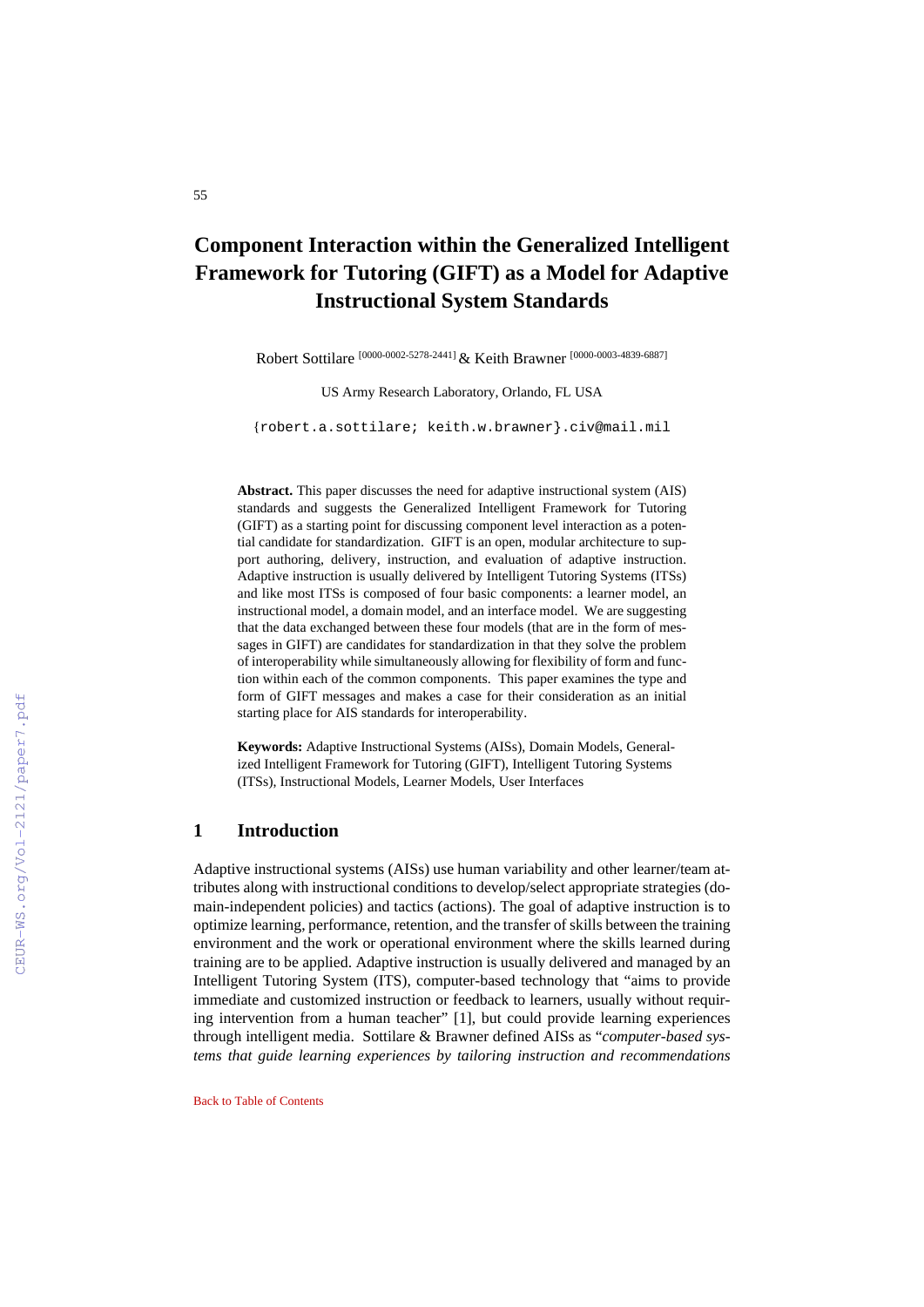# **Component Interaction within the Generalized Intelligent Framework for Tutoring (GIFT) as a Model for Adaptive Instructional System Standards**

Robert Sottilare [0000-0002-5278-2441] & Keith Brawner [0000-0003-4839-6887]

US Army Research Laboratory, Orlando, FL USA

{[robert.a.sottilare; keith.w.brawner}.civ@mail.mil](mailto:robert.a.sottilare;%20keith.w.brawner%7d.civ@mail.mil)

**Abstract.** This paper discusses the need for adaptive instructional system (AIS) standards and suggests the Generalized Intelligent Framework for Tutoring (GIFT) as a starting point for discussing component level interaction as a potential candidate for standardization. GIFT is an open, modular architecture to support authoring, delivery, instruction, and evaluation of adaptive instruction. Adaptive instruction is usually delivered by Intelligent Tutoring Systems (ITSs) and like most ITSs is composed of four basic components: a learner model, an instructional model, a domain model, and an interface model. We are suggesting that the data exchanged between these four models (that are in the form of messages in GIFT) are candidates for standardization in that they solve the problem of interoperability while simultaneously allowing for flexibility of form and function within each of the common components. This paper examines the type and form of GIFT messages and makes a case for their consideration as an initial starting place for AIS standards for interoperability.

**Keywords:** Adaptive Instructional Systems (AISs), Domain Models, Generalized Intelligent Framework for Tutoring (GIFT), Intelligent Tutoring Systems (ITSs), Instructional Models, Learner Models, User Interfaces

# **1 Introduction**

Adaptive instructional systems (AISs) use human variability and other learner/team attributes along with instructional conditions to develop/select appropriate strategies (domain-independent policies) and tactics (actions). The goal of adaptive instruction is to optimize learning, performance, retention, and the transfer of skills between the training environment and the work or operational environment where the skills learned during training are to be applied. Adaptive instruction is usually delivered and managed by an Intelligent Tutoring System (ITS), computer-based technology that "aims to provide immediate and customized instruction or feedback to learners, usually without requiring intervention from a human teacher" [1], but could provide learning experiences through intelligent media. Sottilare & Brawner defined AISs as "*computer-based systems that guide learning experiences by tailoring instruction and recommendations*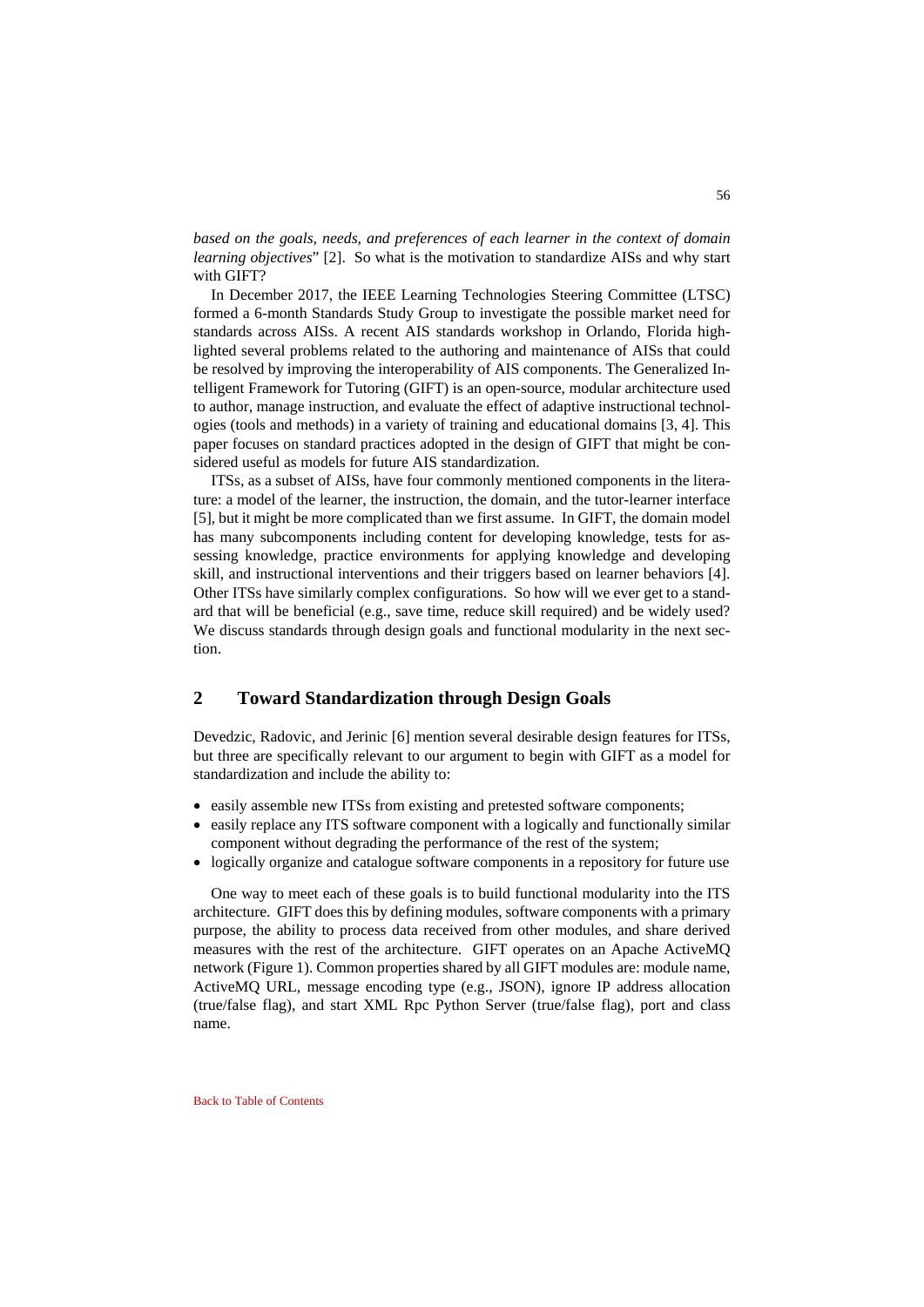*based on the goals, needs, and preferences of each learner in the context of domain learning objectives*" [2]. So what is the motivation to standardize AISs and why start with GIFT?

In December 2017, the IEEE Learning Technologies Steering Committee (LTSC) formed a 6-month Standards Study Group to investigate the possible market need for standards across AISs. A recent AIS standards workshop in Orlando, Florida highlighted several problems related to the authoring and maintenance of AISs that could be resolved by improving the interoperability of AIS components. The Generalized Intelligent Framework for Tutoring (GIFT) is an open-source, modular architecture used to author, manage instruction, and evaluate the effect of adaptive instructional technologies (tools and methods) in a variety of training and educational domains [3, 4]. This paper focuses on standard practices adopted in the design of GIFT that might be considered useful as models for future AIS standardization.

ITSs, as a subset of AISs, have four commonly mentioned components in the literature: a model of the learner, the instruction, the domain, and the tutor-learner interface [5], but it might be more complicated than we first assume. In GIFT, the domain model has many subcomponents including content for developing knowledge, tests for assessing knowledge, practice environments for applying knowledge and developing skill, and instructional interventions and their triggers based on learner behaviors [4]. Other ITSs have similarly complex configurations. So how will we ever get to a standard that will be beneficial (e.g., save time, reduce skill required) and be widely used? We discuss standards through design goals and functional modularity in the next section.

# **2 Toward Standardization through Design Goals**

Devedzic, Radovic, and Jerinic [6] mention several desirable design features for ITSs, but three are specifically relevant to our argument to begin with GIFT as a model for standardization and include the ability to:

- easily assemble new ITSs from existing and pretested software components;
- easily replace any ITS software component with a logically and functionally similar component without degrading the performance of the rest of the system;
- logically organize and catalogue software components in a repository for future use

One way to meet each of these goals is to build functional modularity into the ITS architecture. GIFT does this by defining modules, software components with a primary purpose, the ability to process data received from other modules, and share derived measures with the rest of the architecture. GIFT operates on an Apache ActiveMQ network (Figure 1). Common properties shared by all GIFT modules are: module name, ActiveMQ URL, message encoding type (e.g., JSON), ignore IP address allocation (true/false flag), and start XML Rpc Python Server (true/false flag), port and class name.

Back to Table of Contents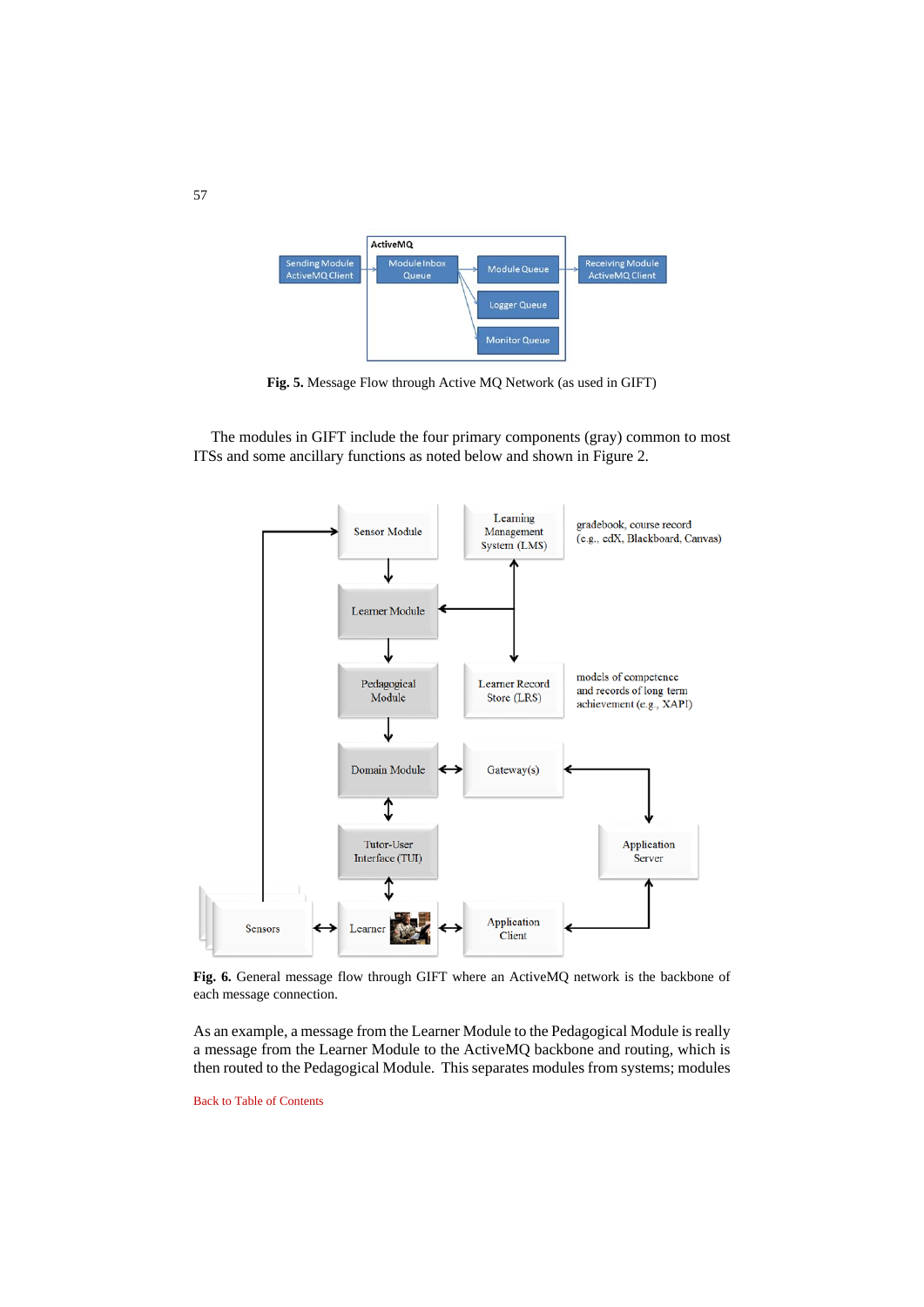

**Fig. 5.** Message Flow through Active MQ Network (as used in GIFT)

The modules in GIFT include the four primary components (gray) common to most ITSs and some ancillary functions as noted below and shown in Figure 2.



**Fig. 6.** General message flow through GIFT where an ActiveMQ network is the backbone of each message connection.

As an example, a message from the Learner Module to the Pedagogical Module is really a message from the Learner Module to the ActiveMQ backbone and routing, which is then routed to the Pedagogical Module. This separates modules from systems; modules

Back to Table of Contents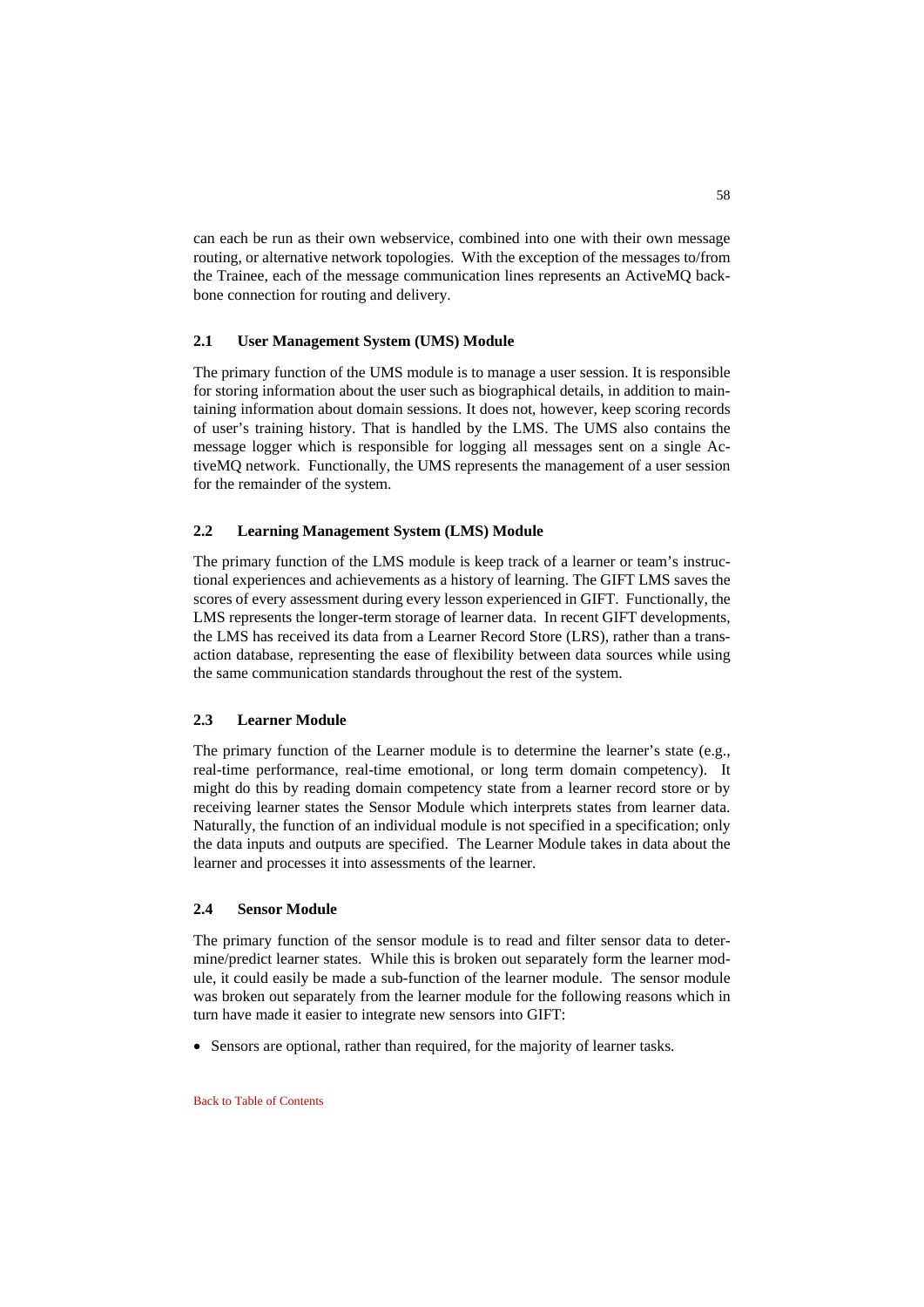can each be run as their own webservice, combined into one with their own message routing, or alternative network topologies. With the exception of the messages to/from the Trainee, each of the message communication lines represents an ActiveMQ backbone connection for routing and delivery.

### **2.1 User Management System (UMS) Module**

The primary function of the UMS module is to manage a user session. It is responsible for storing information about the user such as biographical details, in addition to maintaining information about domain sessions. It does not, however, keep scoring records of user's training history. That is handled by the LMS. The UMS also contains the message logger which is responsible for logging all messages sent on a single ActiveMQ network. Functionally, the UMS represents the management of a user session for the remainder of the system.

### **2.2 Learning Management System (LMS) Module**

The primary function of the LMS module is keep track of a learner or team's instructional experiences and achievements as a history of learning. The GIFT LMS saves the scores of every assessment during every lesson experienced in GIFT. Functionally, the LMS represents the longer-term storage of learner data. In recent GIFT developments, the LMS has received its data from a Learner Record Store (LRS), rather than a transaction database, representing the ease of flexibility between data sources while using the same communication standards throughout the rest of the system.

# **2.3 Learner Module**

The primary function of the Learner module is to determine the learner's state (e.g., real-time performance, real-time emotional, or long term domain competency). It might do this by reading domain competency state from a learner record store or by receiving learner states the Sensor Module which interprets states from learner data. Naturally, the function of an individual module is not specified in a specification; only the data inputs and outputs are specified. The Learner Module takes in data about the learner and processes it into assessments of the learner.

### **2.4 Sensor Module**

The primary function of the sensor module is to read and filter sensor data to determine/predict learner states. While this is broken out separately form the learner module, it could easily be made a sub-function of the learner module. The sensor module was broken out separately from the learner module for the following reasons which in turn have made it easier to integrate new sensors into GIFT:

• Sensors are optional, rather than required, for the majority of learner tasks.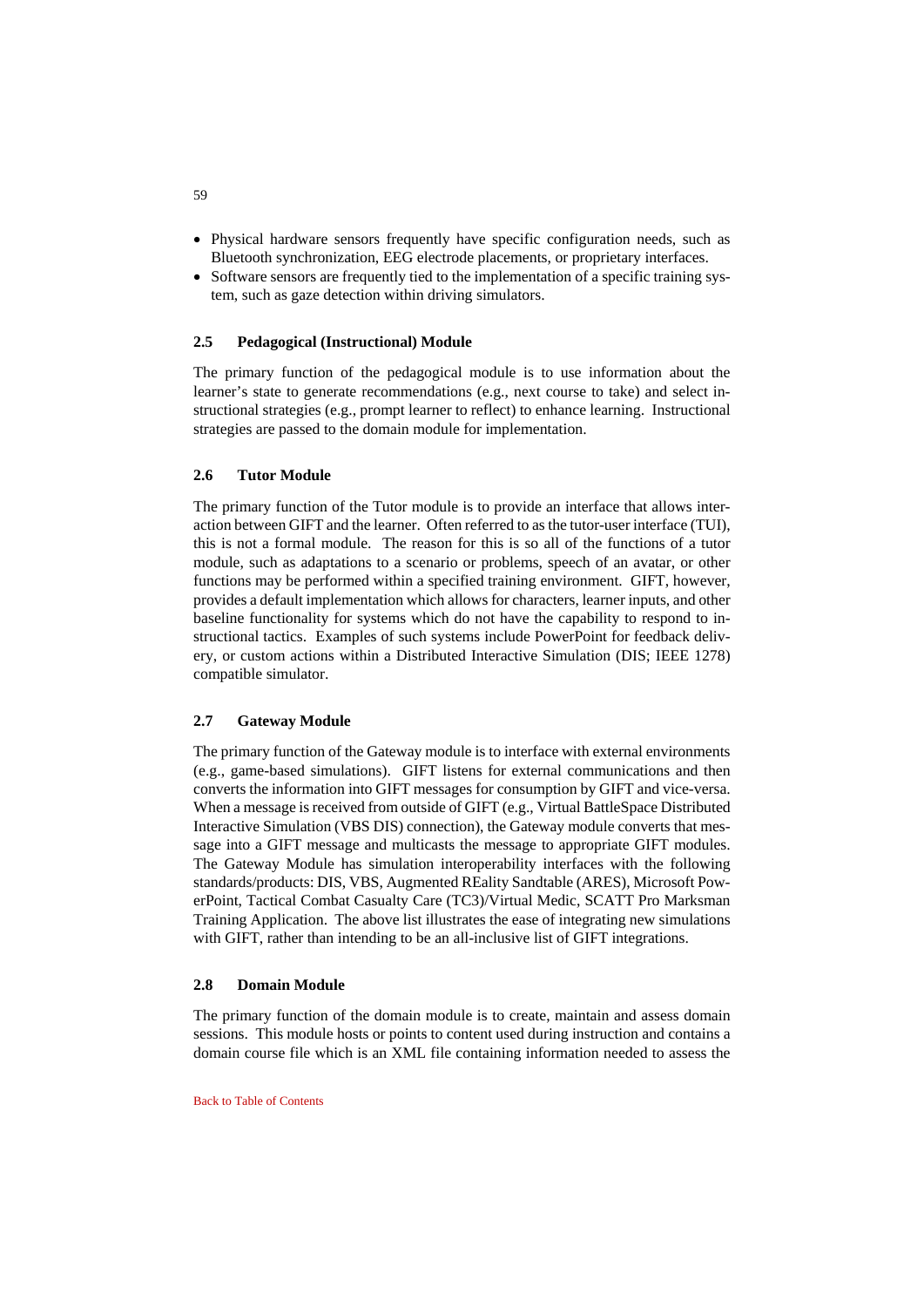- Physical hardware sensors frequently have specific configuration needs, such as Bluetooth synchronization, EEG electrode placements, or proprietary interfaces.
- Software sensors are frequently tied to the implementation of a specific training system, such as gaze detection within driving simulators.

# **2.5 Pedagogical (Instructional) Module**

The primary function of the pedagogical module is to use information about the learner's state to generate recommendations (e.g., next course to take) and select instructional strategies (e.g., prompt learner to reflect) to enhance learning. Instructional strategies are passed to the domain module for implementation.

#### **2.6 Tutor Module**

The primary function of the Tutor module is to provide an interface that allows interaction between GIFT and the learner. Often referred to as the tutor-user interface (TUI), this is not a formal module. The reason for this is so all of the functions of a tutor module, such as adaptations to a scenario or problems, speech of an avatar, or other functions may be performed within a specified training environment. GIFT, however, provides a default implementation which allows for characters, learner inputs, and other baseline functionality for systems which do not have the capability to respond to instructional tactics. Examples of such systems include PowerPoint for feedback delivery, or custom actions within a Distributed Interactive Simulation (DIS; IEEE 1278) compatible simulator.

## **2.7 Gateway Module**

The primary function of the Gateway module is to interface with external environments (e.g., game-based simulations). GIFT listens for external communications and then converts the information into GIFT messages for consumption by GIFT and vice-versa. When a message is received from outside of GIFT (e.g., Virtual BattleSpace Distributed Interactive Simulation (VBS DIS) connection), the Gateway module converts that message into a GIFT message and multicasts the message to appropriate GIFT modules. The Gateway Module has simulation interoperability interfaces with the following standards/products: DIS, VBS, Augmented REality Sandtable (ARES), Microsoft PowerPoint, Tactical Combat Casualty Care (TC3)/Virtual Medic, SCATT Pro Marksman Training Application. The above list illustrates the ease of integrating new simulations with GIFT, rather than intending to be an all-inclusive list of GIFT integrations.

#### **2.8 Domain Module**

The primary function of the domain module is to create, maintain and assess domain sessions. This module hosts or points to content used during instruction and contains a domain course file which is an XML file containing information needed to assess the

Back to Table of Contents

#### 59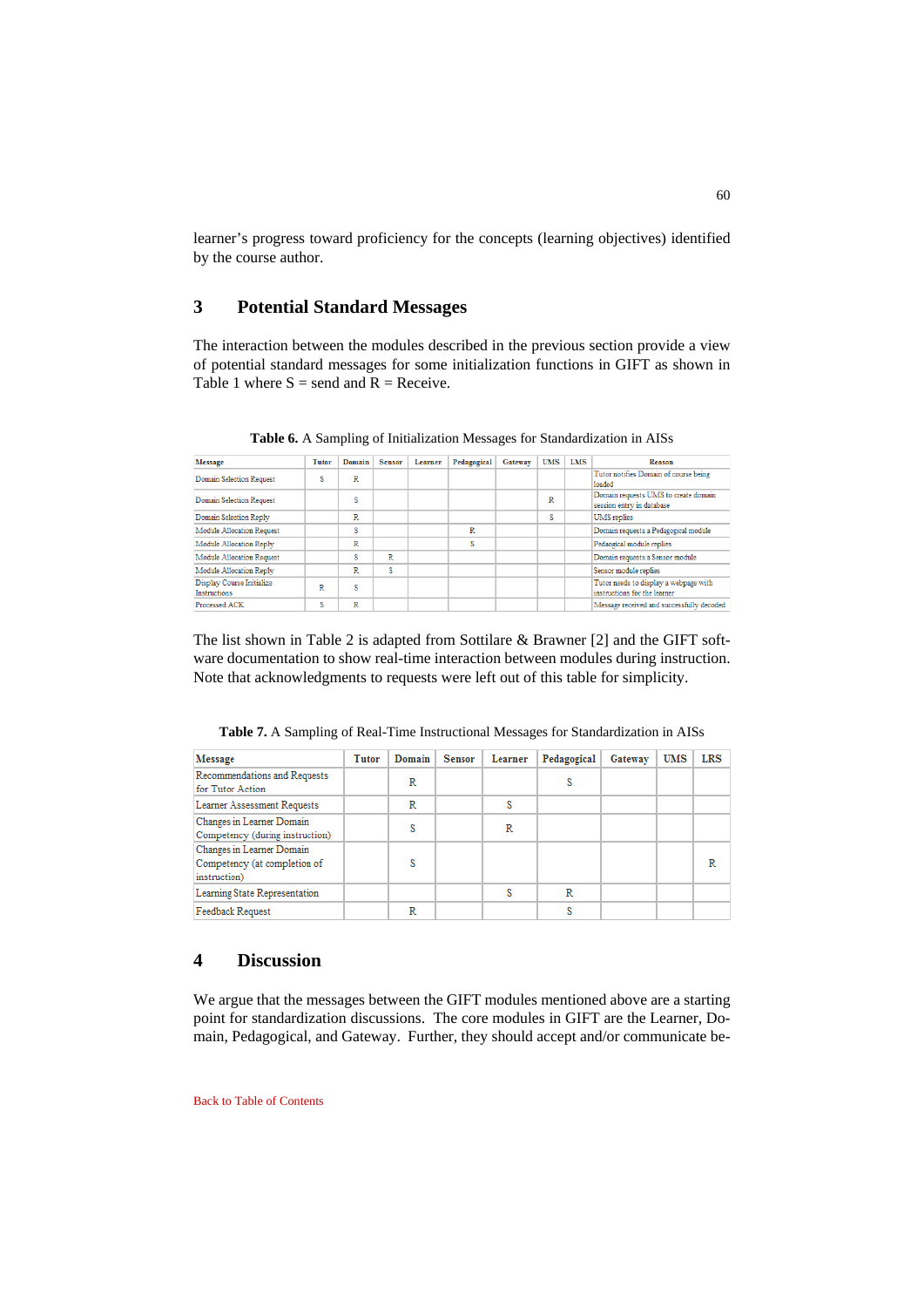learner's progress toward proficiency for the concepts (learning objectives) identified by the course author.

# **3 Potential Standard Messages**

The interaction between the modules described in the previous section provide a view of potential standard messages for some initialization functions in GIFT as shown in Table 1 where  $S =$  send and  $R =$  Receive.

| Message                                   | <b>Tutor</b> | Domain | <b>Sensor</b> | Learner | Pedagogical | Gateway | <b>UMS</b> | <b>LMS</b> | Reason                                                                |  |
|-------------------------------------------|--------------|--------|---------------|---------|-------------|---------|------------|------------|-----------------------------------------------------------------------|--|
| <b>Domain Selection Request</b>           | s            | R      |               |         |             |         |            |            | Tutor notifies Domain of course being                                 |  |
|                                           |              |        |               |         |             |         |            |            | loaded<br>Domain requests UMS to create domain                        |  |
| Domain Selection Request                  |              | S      |               |         |             |         | R          |            | session entry in database                                             |  |
| Domain Selection Reply                    |              | R      |               |         |             |         | S          |            | <b>UMS</b> replies                                                    |  |
| <b>Module Allocation Request</b>          |              | S      |               |         | R           |         |            |            | Domain requests a Pedagogical module                                  |  |
| Module Allocation Reply                   |              | R      |               |         | S           |         |            |            | Pedaogical module replies                                             |  |
| Module Allocation Request                 |              | S      | R             |         |             |         |            |            | Domain requests a Sensor module                                       |  |
| Module Allocation Reply                   |              | R      | S             |         |             |         |            |            | Sensor module replies                                                 |  |
| Display Course Initialize<br>Instructions | R            | S      |               |         |             |         |            |            | Tutor needs to display a webpage with<br>instructions for the learner |  |
| Processed ACK                             | S            | R      |               |         |             |         |            |            | Message received and successfully decoded                             |  |

**Table 6.** A Sampling of Initialization Messages for Standardization in AISs

The list shown in Table 2 is adapted from Sottilare & Brawner [2] and the GIFT software documentation to show real-time interaction between modules during instruction. Note that acknowledgments to requests were left out of this table for simplicity.

**Table 7.** A Sampling of Real-Time Instructional Messages for Standardization in AISs

| Message                                                                   | <b>Tutor</b> | Domain | <b>Sensor</b> | Learner | Pedagogical | Gateway | UMS | <b>LRS</b> |
|---------------------------------------------------------------------------|--------------|--------|---------------|---------|-------------|---------|-----|------------|
| Recommendations and Requests<br>for Tutor Action                          |              | R      |               |         | s           |         |     |            |
| Learner Assessment Requests                                               |              | R      |               | s       |             |         |     |            |
| Changes in Learner Domain<br>Competency (during instruction)              |              | s      |               | R       |             |         |     |            |
| Changes in Learner Domain<br>Competency (at completion of<br>instruction) |              | S      |               |         |             |         |     | R          |
| Learning State Representation                                             |              |        |               | s       | R           |         |     |            |
| Feedback Request                                                          |              | R      |               |         | S           |         |     |            |

# **4 Discussion**

We argue that the messages between the GIFT modules mentioned above are a starting point for standardization discussions. The core modules in GIFT are the Learner, Domain, Pedagogical, and Gateway. Further, they should accept and/or communicate be-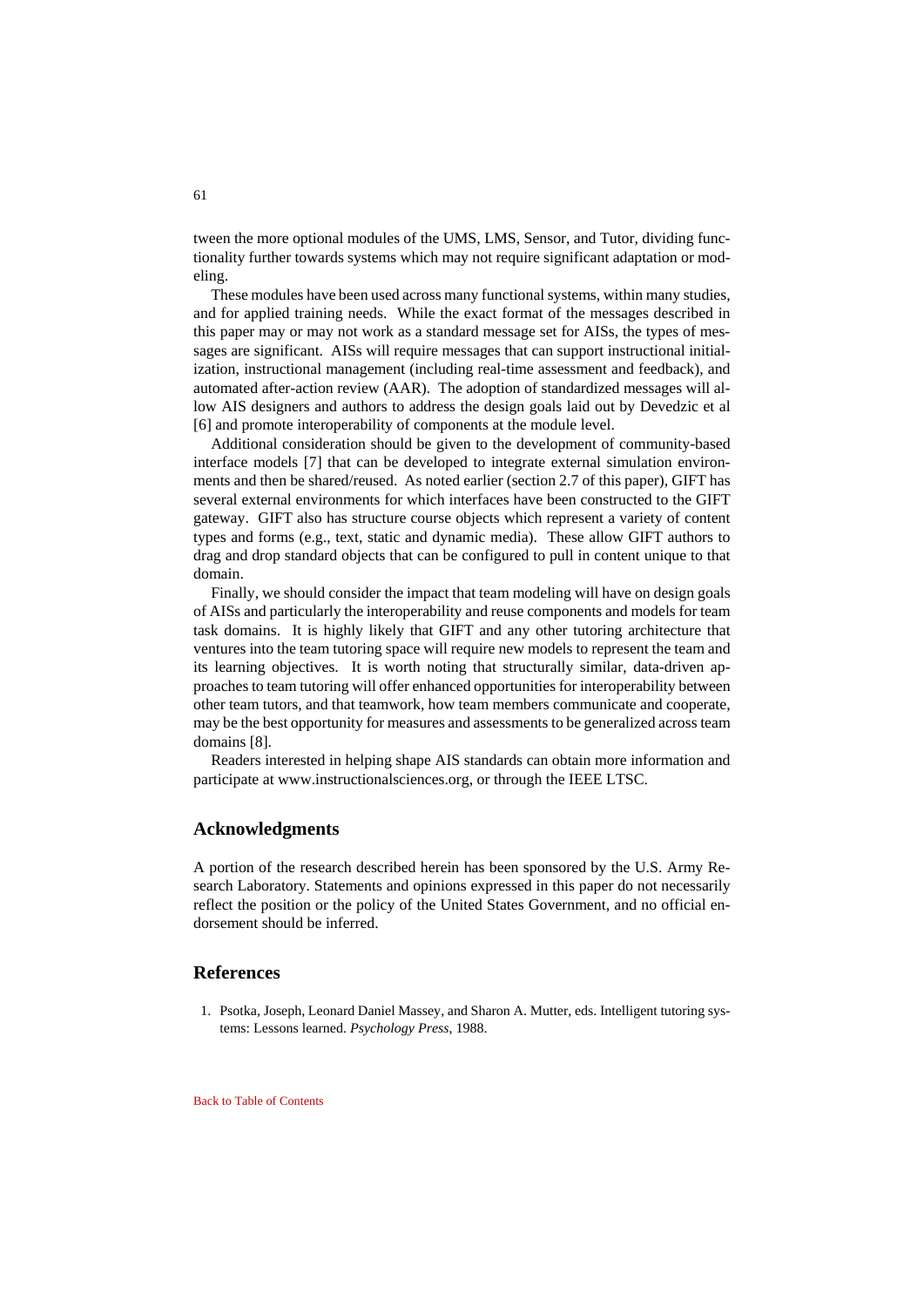tween the more optional modules of the UMS, LMS, Sensor, and Tutor, dividing functionality further towards systems which may not require significant adaptation or modeling.

These modules have been used across many functional systems, within many studies, and for applied training needs. While the exact format of the messages described in this paper may or may not work as a standard message set for AISs, the types of messages are significant. AISs will require messages that can support instructional initialization, instructional management (including real-time assessment and feedback), and automated after-action review (AAR). The adoption of standardized messages will allow AIS designers and authors to address the design goals laid out by Devedzic et al [6] and promote interoperability of components at the module level.

Additional consideration should be given to the development of community-based interface models [7] that can be developed to integrate external simulation environments and then be shared/reused. As noted earlier (section 2.7 of this paper), GIFT has several external environments for which interfaces have been constructed to the GIFT gateway. GIFT also has structure course objects which represent a variety of content types and forms (e.g., text, static and dynamic media). These allow GIFT authors to drag and drop standard objects that can be configured to pull in content unique to that domain.

Finally, we should consider the impact that team modeling will have on design goals of AISs and particularly the interoperability and reuse components and models for team task domains. It is highly likely that GIFT and any other tutoring architecture that ventures into the team tutoring space will require new models to represent the team and its learning objectives. It is worth noting that structurally similar, data-driven approaches to team tutoring will offer enhanced opportunities for interoperability between other team tutors, and that teamwork, how team members communicate and cooperate, may be the best opportunity for measures and assessments to be generalized across team domains [8].

Readers interested in helping shape AIS standards can obtain more information and participate at [www.instructionalsciences.org,](http://www.instructionalsciences.org/) or through the IEEE LTSC.

# **Acknowledgments**

A portion of the research described herein has been sponsored by the U.S. Army Research Laboratory. Statements and opinions expressed in this paper do not necessarily reflect the position or the policy of the United States Government, and no official endorsement should be inferred.

### **References**

1. Psotka, Joseph, Leonard Daniel Massey, and Sharon A. Mutter, eds. Intelligent tutoring systems: Lessons learned. *Psychology Press*, 1988.

61